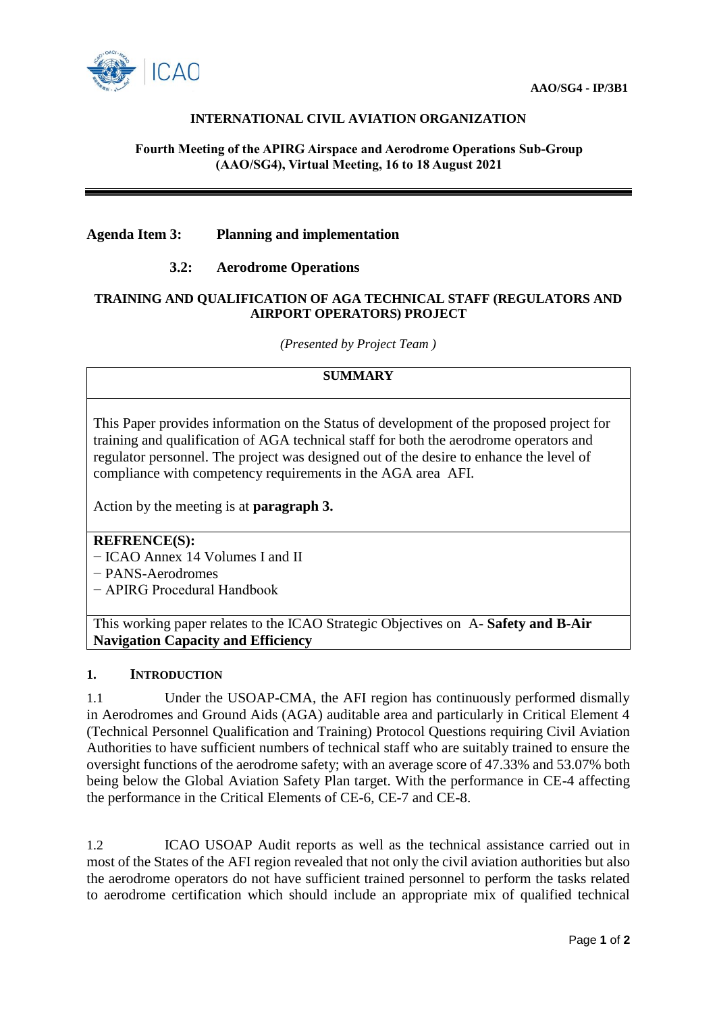

# **INTERNATIONAL CIVIL AVIATION ORGANIZATION**

### **Fourth Meeting of the APIRG Airspace and Aerodrome Operations Sub-Group (AAO/SG4), Virtual Meeting, 16 to 18 August 2021**

## **Agenda Item 3: Planning and implementation**

## **3.2: Aerodrome Operations**

### **TRAINING AND QUALIFICATION OF AGA TECHNICAL STAFF (REGULATORS AND AIRPORT OPERATORS) PROJECT**

*(Presented by Project Team )*

# **SUMMARY**

This Paper provides information on the Status of development of the proposed project for training and qualification of AGA technical staff for both the aerodrome operators and regulator personnel. The project was designed out of the desire to enhance the level of compliance with competency requirements in the AGA area AFI.

Action by the meeting is at **paragraph 3.**

### **REFRENCE(S):**

− ICAO Annex 14 Volumes I and II

− PANS-Aerodromes

− APIRG Procedural Handbook

This working paper relates to the ICAO Strategic Objectives on A- **Safety and B-Air Navigation Capacity and Efficiency**

### **1. INTRODUCTION**

1.1 Under the USOAP-CMA, the AFI region has continuously performed dismally in Aerodromes and Ground Aids (AGA) auditable area and particularly in Critical Element 4 (Technical Personnel Qualification and Training) Protocol Questions requiring Civil Aviation Authorities to have sufficient numbers of technical staff who are suitably trained to ensure the oversight functions of the aerodrome safety; with an average score of 47.33% and 53.07% both being below the Global Aviation Safety Plan target. With the performance in CE-4 affecting the performance in the Critical Elements of CE-6, CE-7 and CE-8.

1.2 ICAO USOAP Audit reports as well as the technical assistance carried out in most of the States of the AFI region revealed that not only the civil aviation authorities but also the aerodrome operators do not have sufficient trained personnel to perform the tasks related to aerodrome certification which should include an appropriate mix of qualified technical